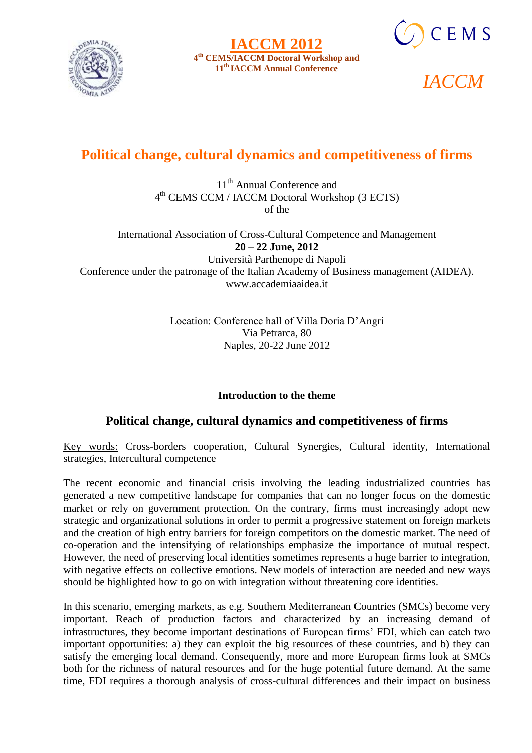





# **Political change, cultural dynamics and competitiveness of firms**

11<sup>th</sup> Annual Conference and 4 th CEMS CCM / IACCM Doctoral Workshop (3 ECTS) of the

International Association of Cross-Cultural Competence and Management **20 – 22 June, 2012** Università Parthenope di Napoli Conference under the patronage of the Italian Academy of Business management (AIDEA). www.accademiaaidea.it

> Location: Conference hall of Villa Doria D'Angri Via Petrarca, 80 Naples, 20-22 June 2012

# **Introduction to the theme**

# **Political change, cultural dynamics and competitiveness of firms**

Key words: Cross-borders cooperation, Cultural Synergies, Cultural identity, International strategies, Intercultural competence

The recent economic and financial crisis involving the leading industrialized countries has generated a new competitive landscape for companies that can no longer focus on the domestic market or rely on government protection. On the contrary, firms must increasingly adopt new strategic and organizational solutions in order to permit a progressive statement on foreign markets and the creation of high entry barriers for foreign competitors on the domestic market. The need of co-operation and the intensifying of relationships emphasize the importance of mutual respect. However, the need of preserving local identities sometimes represents a huge barrier to integration, with negative effects on collective emotions. New models of interaction are needed and new ways should be highlighted how to go on with integration without threatening core identities.

In this scenario, emerging markets, as e.g. Southern Mediterranean Countries (SMCs) become very important. Reach of production factors and characterized by an increasing demand of infrastructures, they become important destinations of European firms' FDI, which can catch two important opportunities: a) they can exploit the big resources of these countries, and b) they can satisfy the emerging local demand. Consequently, more and more European firms look at SMCs both for the richness of natural resources and for the huge potential future demand. At the same time, FDI requires a thorough analysis of cross-cultural differences and their impact on business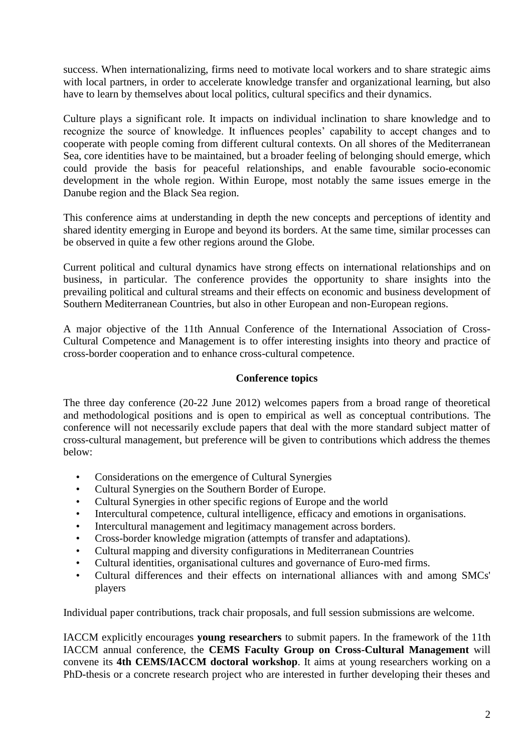success. When internationalizing, firms need to motivate local workers and to share strategic aims with local partners, in order to accelerate knowledge transfer and organizational learning, but also have to learn by themselves about local politics, cultural specifics and their dynamics.

Culture plays a significant role. It impacts on individual inclination to share knowledge and to recognize the source of knowledge. It influences peoples' capability to accept changes and to cooperate with people coming from different cultural contexts. On all shores of the Mediterranean Sea, core identities have to be maintained, but a broader feeling of belonging should emerge, which could provide the basis for peaceful relationships, and enable favourable socio-economic development in the whole region. Within Europe, most notably the same issues emerge in the Danube region and the Black Sea region.

This conference aims at understanding in depth the new concepts and perceptions of identity and shared identity emerging in Europe and beyond its borders. At the same time, similar processes can be observed in quite a few other regions around the Globe.

Current political and cultural dynamics have strong effects on international relationships and on business, in particular. The conference provides the opportunity to share insights into the prevailing political and cultural streams and their effects on economic and business development of Southern Mediterranean Countries, but also in other European and non-European regions.

A major objective of the 11th Annual Conference of the International Association of Cross-Cultural Competence and Management is to offer interesting insights into theory and practice of cross-border cooperation and to enhance cross-cultural competence.

#### **Conference topics**

The three day conference (20-22 June 2012) welcomes papers from a broad range of theoretical and methodological positions and is open to empirical as well as conceptual contributions. The conference will not necessarily exclude papers that deal with the more standard subject matter of cross-cultural management, but preference will be given to contributions which address the themes below:

- Considerations on the emergence of Cultural Synergies
- Cultural Synergies on the Southern Border of Europe.
- Cultural Synergies in other specific regions of Europe and the world
- Intercultural competence, cultural intelligence, efficacy and emotions in organisations.
- Intercultural management and legitimacy management across borders.
- Cross-border knowledge migration (attempts of transfer and adaptations).
- Cultural mapping and diversity configurations in Mediterranean Countries
- Cultural identities, organisational cultures and governance of Euro-med firms.
- Cultural differences and their effects on international alliances with and among SMCs' players

Individual paper contributions, track chair proposals, and full session submissions are welcome.

IACCM explicitly encourages **young researchers** to submit papers. In the framework of the 11th IACCM annual conference, the **CEMS Faculty Group on Cross-Cultural Management** will convene its **4th CEMS/IACCM doctoral workshop**. It aims at young researchers working on a PhD-thesis or a concrete research project who are interested in further developing their theses and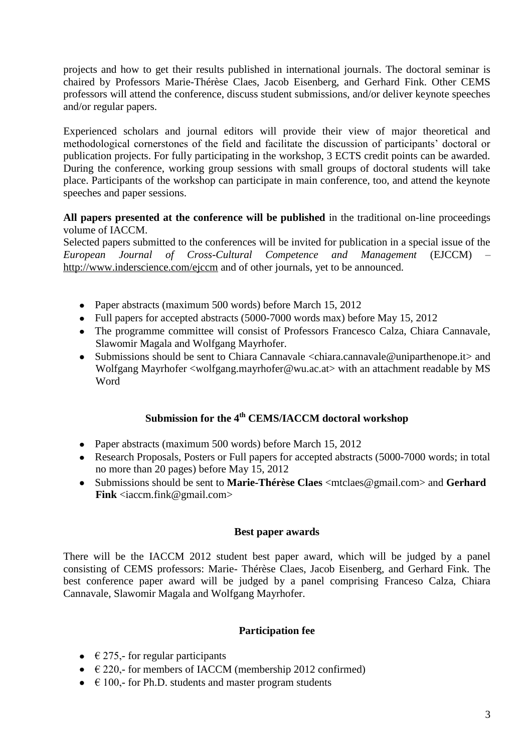projects and how to get their results published in international journals. The doctoral seminar is chaired by Professors Marie-Thérèse Claes, Jacob Eisenberg, and Gerhard Fink. Other CEMS professors will attend the conference, discuss student submissions, and/or deliver keynote speeches and/or regular papers.

Experienced scholars and journal editors will provide their view of major theoretical and methodological cornerstones of the field and facilitate the discussion of participants' doctoral or publication projects. For fully participating in the workshop, 3 ECTS credit points can be awarded. During the conference, working group sessions with small groups of doctoral students will take place. Participants of the workshop can participate in main conference, too, and attend the keynote speeches and paper sessions.

**All papers presented at the conference will be published** in the traditional on-line proceedings volume of IACCM.

Selected papers submitted to the conferences will be invited for publication in a special issue of the *European Journal of Cross-Cultural Competence and Management* (EJCCM) – <http://www.inderscience.com/ejccm> and of other journals, yet to be announced.

- Paper abstracts (maximum 500 words) before March 15, 2012
- Full papers for accepted abstracts (5000-7000 words max) before May 15, 2012
- The programme committee will consist of Professors Francesco Calza, Chiara Cannavale, Slawomir Magala and Wolfgang Mayrhofer.
- Submissions should be sent to Chiara Cannavale <chiara.cannavale@uniparthenope.it> and Wolfgang Mayrhofer <wolfgang.mayrhofer@wu.ac.at> with an attachment readable by MS Word

# **Submission for the 4 th CEMS/IACCM doctoral workshop**

- Paper abstracts (maximum 500 words) before March 15, 2012
- Research Proposals, Posters or Full papers for accepted abstracts (5000-7000 words; in total no more than 20 pages) before May 15, 2012
- Submissions should be sent to **Marie-Thérèse Claes** <mtclaes@gmail.com> and **Gerhard Fink** <iaccm.fink@gmail.com>

#### **Best paper awards**

There will be the IACCM 2012 student best paper award, which will be judged by a panel consisting of CEMS professors: Marie- Thérèse Claes, Jacob Eisenberg, and Gerhard Fink. The best conference paper award will be judged by a panel comprising Franceso Calza, Chiara Cannavale, Slawomir Magala and Wolfgang Mayrhofer.

### **Participation fee**

- $\bullet$   $\in$  275,- for regular participants
- $\bullet \quad \in$  220,- for members of IACCM (membership 2012 confirmed)
- $\bullet$   $\in$  100,- for Ph.D. students and master program students